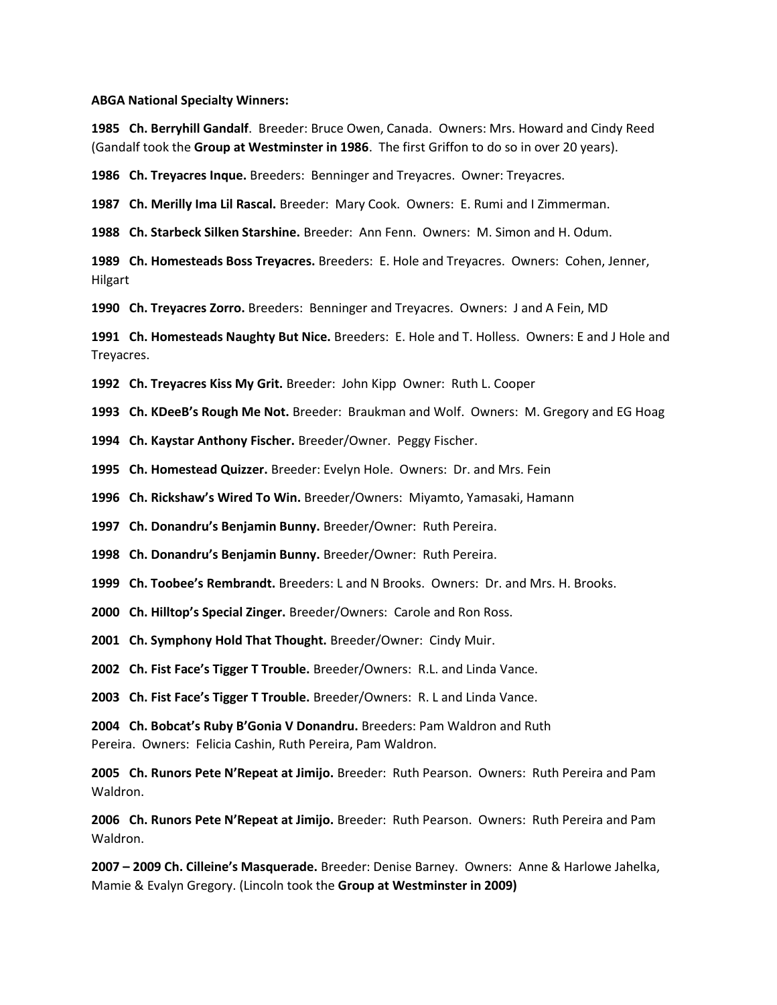## **ABGA National Specialty Winners:**

**1985 Ch. Berryhill Gandalf**. Breeder: Bruce Owen, Canada. Owners: Mrs. Howard and Cindy Reed (Gandalf took the **Group at Westminster in 1986**. The first Griffon to do so in over 20 years).

**1986 Ch. Treyacres Inque.** Breeders: Benninger and Treyacres. Owner: Treyacres.

**1987 Ch. Merilly Ima Lil Rascal.** Breeder: Mary Cook. Owners: E. Rumi and I Zimmerman.

**1988 Ch. Starbeck Silken Starshine.** Breeder: Ann Fenn. Owners: M. Simon and H. Odum.

**1989 Ch. Homesteads Boss Treyacres.** Breeders: E. Hole and Treyacres. Owners: Cohen, Jenner, Hilgart

**1990 Ch. Treyacres Zorro.** Breeders: Benninger and Treyacres. Owners: J and A Fein, MD

**1991 Ch. Homesteads Naughty But Nice.** Breeders: E. Hole and T. Holless. Owners: E and J Hole and Treyacres.

**1992 Ch. Treyacres Kiss My Grit.** Breeder: John Kipp Owner: Ruth L. Cooper

**1993 Ch. KDeeB's Rough Me Not.** Breeder: Braukman and Wolf. Owners: M. Gregory and EG Hoag

**1994 Ch. Kaystar Anthony Fischer.** Breeder/Owner. Peggy Fischer.

**1995 Ch. Homestead Quizzer.** Breeder: Evelyn Hole. Owners: Dr. and Mrs. Fein

**1996 Ch. Rickshaw's Wired To Win.** Breeder/Owners: Miyamto, Yamasaki, Hamann

**1997 Ch. Donandru's Benjamin Bunny.** Breeder/Owner: Ruth Pereira.

**1998 Ch. Donandru's Benjamin Bunny.** Breeder/Owner: Ruth Pereira.

**1999 Ch. Toobee's Rembrandt.** Breeders: L and N Brooks. Owners: Dr. and Mrs. H. Brooks.

**2000 Ch. Hilltop's Special Zinger.** Breeder/Owners: Carole and Ron Ross.

**2001 Ch. Symphony Hold That Thought.** Breeder/Owner: Cindy Muir.

**2002 Ch. Fist Face's Tigger T Trouble.** Breeder/Owners: R.L. and Linda Vance.

**2003 Ch. Fist Face's Tigger T Trouble.** Breeder/Owners: R. L and Linda Vance.

**2004 Ch. Bobcat's Ruby B'Gonia V Donandru.** Breeders: Pam Waldron and Ruth Pereira. Owners: Felicia Cashin, Ruth Pereira, Pam Waldron.

**2005 Ch. Runors Pete N'Repeat at Jimijo.** Breeder: Ruth Pearson. Owners: Ruth Pereira and Pam Waldron.

**2006 Ch. Runors Pete N'Repeat at Jimijo.** Breeder: Ruth Pearson. Owners: Ruth Pereira and Pam Waldron.

**2007 – 2009 Ch. Cilleine's Masquerade.** Breeder: Denise Barney. Owners: Anne & Harlowe Jahelka, Mamie & Evalyn Gregory. (Lincoln took the **Group at Westminster in 2009)**